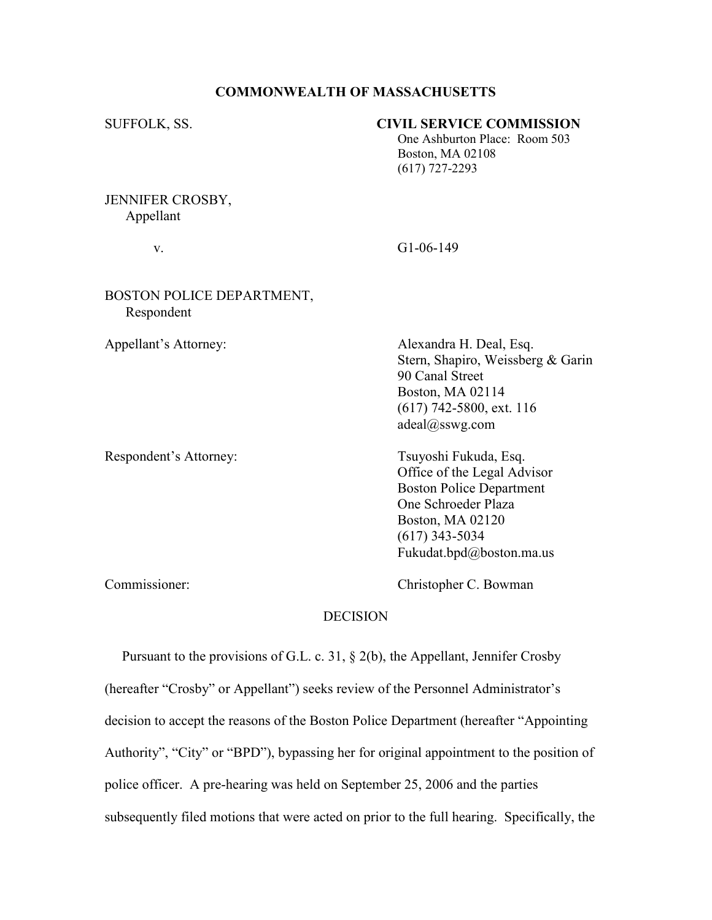## COMMONWEALTH OF MASSACHUSETTS

## SUFFOLK, SS. CIVIL SERVICE COMMISSION

 One Ashburton Place: Room 503 Boston, MA 02108 (617) 727-2293

# JENNIFER CROSBY, Appellant

v. G1-06-149

# BOSTON POLICE DEPARTMENT, Respondent

Appellant's Attorney: Alexandra H. Deal, Esq. Stern, Shapiro, Weissberg & Garin 90 Canal Street Boston, MA 02114 (617) 742-5800, ext. 116 adeal@sswg.com

Respondent's Attorney: Tsuyoshi Fukuda, Esq. Office of the Legal Advisor Boston Police Department One Schroeder Plaza Boston, MA 02120 (617) 343-5034 Fukudat.bpd@boston.ma.us

Commissioner: Christopher C. Bowman

# DECISION

 Pursuant to the provisions of G.L. c. 31, § 2(b), the Appellant, Jennifer Crosby (hereafter "Crosby" or Appellant") seeks review of the Personnel Administrator's decision to accept the reasons of the Boston Police Department (hereafter "Appointing Authority", "City" or "BPD"), bypassing her for original appointment to the position of police officer. A pre-hearing was held on September 25, 2006 and the parties subsequently filed motions that were acted on prior to the full hearing. Specifically, the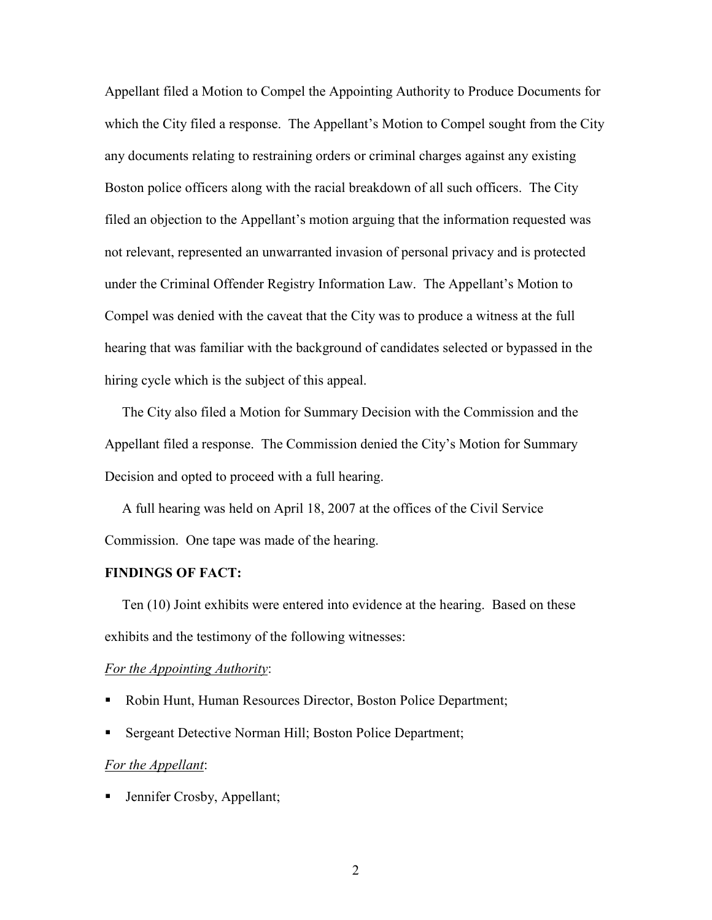Appellant filed a Motion to Compel the Appointing Authority to Produce Documents for which the City filed a response. The Appellant's Motion to Compel sought from the City any documents relating to restraining orders or criminal charges against any existing Boston police officers along with the racial breakdown of all such officers. The City filed an objection to the Appellant's motion arguing that the information requested was not relevant, represented an unwarranted invasion of personal privacy and is protected under the Criminal Offender Registry Information Law. The Appellant's Motion to Compel was denied with the caveat that the City was to produce a witness at the full hearing that was familiar with the background of candidates selected or bypassed in the hiring cycle which is the subject of this appeal.

 The City also filed a Motion for Summary Decision with the Commission and the Appellant filed a response. The Commission denied the City's Motion for Summary Decision and opted to proceed with a full hearing.

 A full hearing was held on April 18, 2007 at the offices of the Civil Service Commission. One tape was made of the hearing.

#### FINDINGS OF FACT:

 Ten (10) Joint exhibits were entered into evidence at the hearing. Based on these exhibits and the testimony of the following witnesses:

### For the Appointing Authority:

- Robin Hunt, Human Resources Director, Boston Police Department;
- Sergeant Detective Norman Hill; Boston Police Department;

### For the Appellant:

**Jennifer Crosby, Appellant;**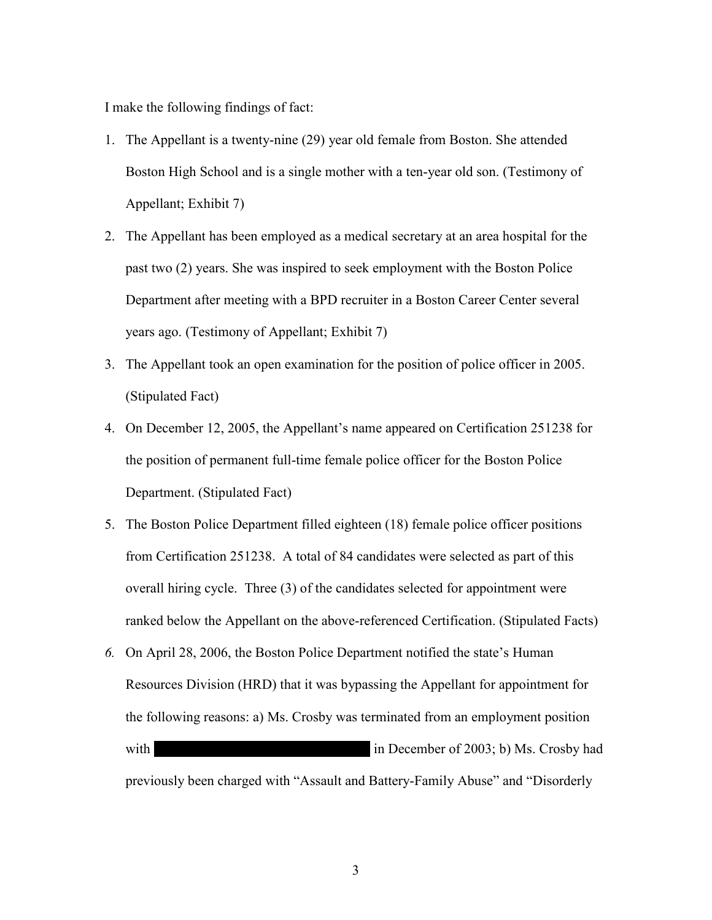I make the following findings of fact:

- 1. The Appellant is a twenty-nine (29) year old female from Boston. She attended Boston High School and is a single mother with a ten-year old son. (Testimony of Appellant; Exhibit 7)
- 2. The Appellant has been employed as a medical secretary at an area hospital for the past two (2) years. She was inspired to seek employment with the Boston Police Department after meeting with a BPD recruiter in a Boston Career Center several years ago. (Testimony of Appellant; Exhibit 7)
- 3. The Appellant took an open examination for the position of police officer in 2005. (Stipulated Fact)
- 4. On December 12, 2005, the Appellant's name appeared on Certification 251238 for the position of permanent full-time female police officer for the Boston Police Department. (Stipulated Fact)
- 5. The Boston Police Department filled eighteen (18) female police officer positions from Certification 251238. A total of 84 candidates were selected as part of this overall hiring cycle. Three (3) of the candidates selected for appointment were ranked below the Appellant on the above-referenced Certification. (Stipulated Facts)
- 6. On April 28, 2006, the Boston Police Department notified the state's Human Resources Division (HRD) that it was bypassing the Appellant for appointment for the following reasons: a) Ms. Crosby was terminated from an employment position with  $\text{in December of } 2003; \text{b) Ms. Crosby had}$ previously been charged with "Assault and Battery-Family Abuse" and "Disorderly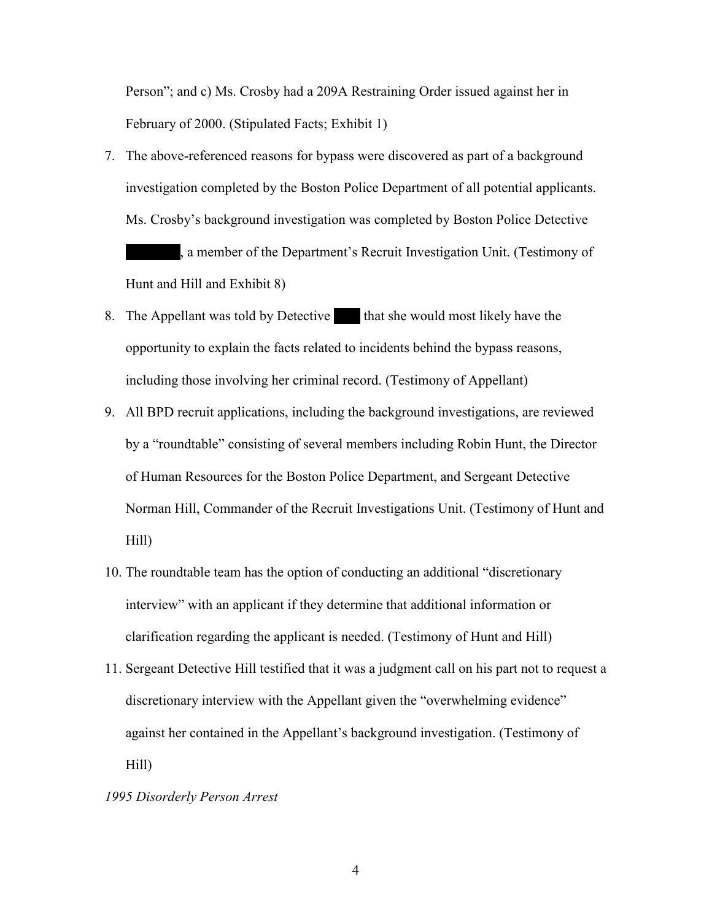Person"; and c) Ms. Crosby had a 209A Restraining Order issued against her in February of 2000. (Stipulated Facts; Exhibit 1)

- 7. The above-referenced reasons for bypass were discovered as part of a background investigation completed by the Boston Police Department of all potential applicants. Ms. Crosby's background investigation was completed by Boston Police Detective a member of the Department's Recruit Investigation Unit. (Testimony of Ms. Crosby's background inv<br>
, a member of the D<br>
Hunt and Hill and Exhibit 8)
- 8. The Appellant was told by Detective that she would most likely have the opportunity to explain the facts related to incidents behind the bypass reasons, including those involving her criminal record. (Testimony of Appellant) ed to i
- 9. All BPD recruit applications, including the background investigations, are reviewed by a "roundtable" consisting of several members including Robin Hunt, the Director of Human Resources for the Boston Police Department, and Sergeant Detective Norman Hill, Commander of the Recruit Investigations Unit. (Testimony of Hunt and Hill)
- 10. The roundtable team has the option of conducting an additional "discretionary interview" with an applicant if they determine that additional information or clarification regarding the applicant is needed. (Testimony of Hunt and Hill)
- 11. Sergeant Detective Hill testified that it was a judgment call on his part not to request a discretionary interview with the Appellant given the "overwhelming evidence" against her contained in the Appellant's background investigation. (Testimony of Hill)

## 1995 Disorderly Person Arrest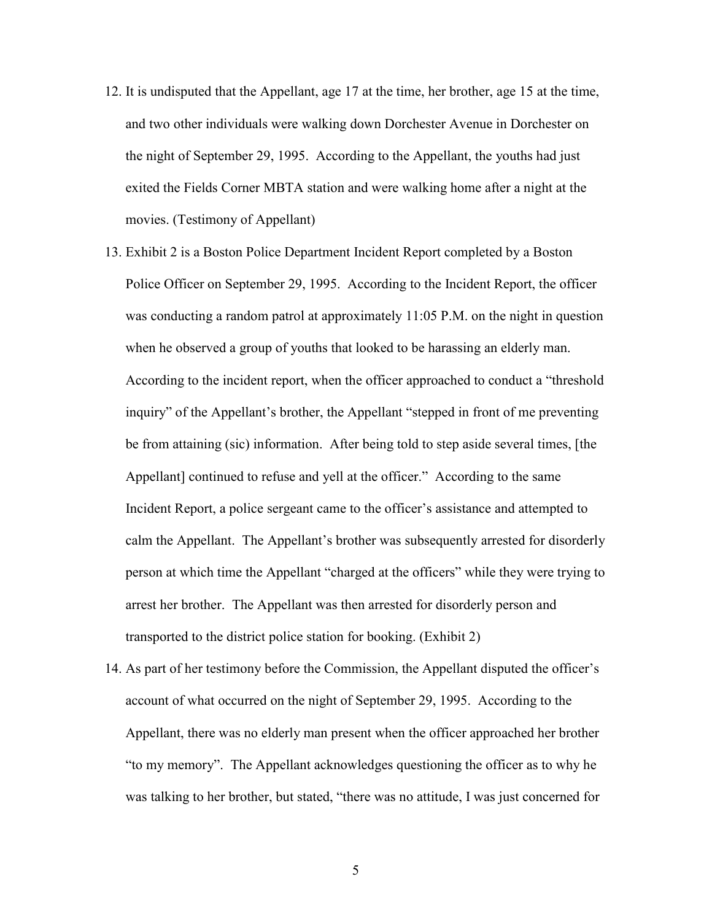- 12. It is undisputed that the Appellant, age 17 at the time, her brother, age 15 at the time, and two other individuals were walking down Dorchester Avenue in Dorchester on the night of September 29, 1995. According to the Appellant, the youths had just exited the Fields Corner MBTA station and were walking home after a night at the movies. (Testimony of Appellant)
- 13. Exhibit 2 is a Boston Police Department Incident Report completed by a Boston Police Officer on September 29, 1995. According to the Incident Report, the officer was conducting a random patrol at approximately 11:05 P.M. on the night in question when he observed a group of youths that looked to be harassing an elderly man. According to the incident report, when the officer approached to conduct a "threshold inquiry" of the Appellant's brother, the Appellant "stepped in front of me preventing be from attaining (sic) information. After being told to step aside several times, [the Appellant] continued to refuse and yell at the officer." According to the same Incident Report, a police sergeant came to the officer's assistance and attempted to calm the Appellant. The Appellant's brother was subsequently arrested for disorderly person at which time the Appellant "charged at the officers" while they were trying to arrest her brother. The Appellant was then arrested for disorderly person and transported to the district police station for booking. (Exhibit 2)
- 14. As part of her testimony before the Commission, the Appellant disputed the officer's account of what occurred on the night of September 29, 1995. According to the Appellant, there was no elderly man present when the officer approached her brother "to my memory". The Appellant acknowledges questioning the officer as to why he was talking to her brother, but stated, "there was no attitude, I was just concerned for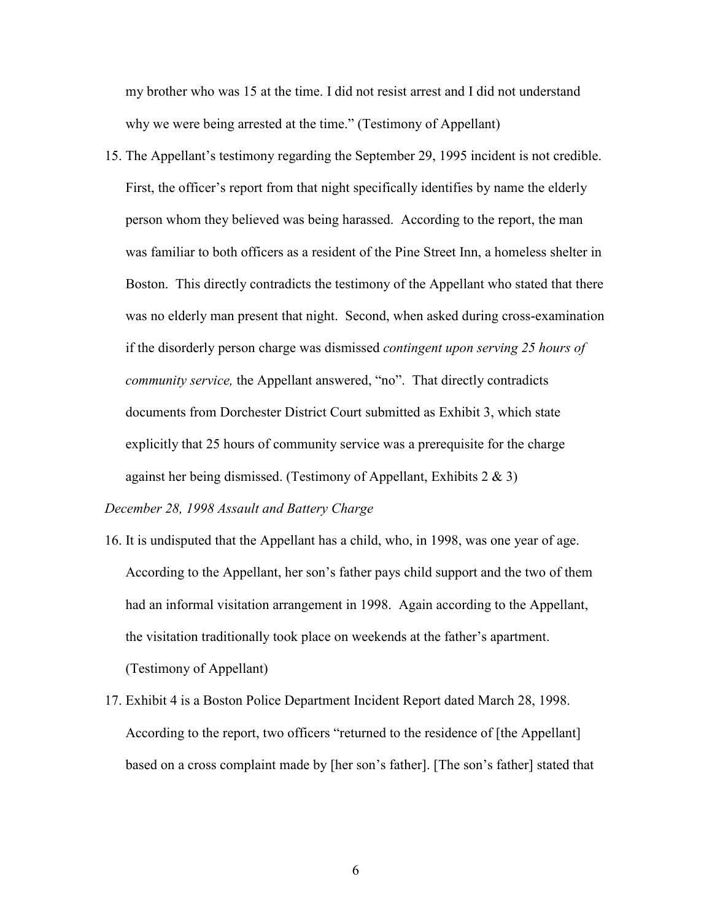my brother who was 15 at the time. I did not resist arrest and I did not understand why we were being arrested at the time." (Testimony of Appellant)

15. The Appellant's testimony regarding the September 29, 1995 incident is not credible. First, the officer's report from that night specifically identifies by name the elderly person whom they believed was being harassed. According to the report, the man was familiar to both officers as a resident of the Pine Street Inn, a homeless shelter in Boston. This directly contradicts the testimony of the Appellant who stated that there was no elderly man present that night. Second, when asked during cross-examination if the disorderly person charge was dismissed contingent upon serving 25 hours of community service, the Appellant answered, "no". That directly contradicts documents from Dorchester District Court submitted as Exhibit 3, which state explicitly that 25 hours of community service was a prerequisite for the charge against her being dismissed. (Testimony of Appellant, Exhibits  $2 \& 3$ )

December 28, 1998 Assault and Battery Charge

- 16. It is undisputed that the Appellant has a child, who, in 1998, was one year of age. According to the Appellant, her son's father pays child support and the two of them had an informal visitation arrangement in 1998. Again according to the Appellant, the visitation traditionally took place on weekends at the father's apartment. (Testimony of Appellant)
- 17. Exhibit 4 is a Boston Police Department Incident Report dated March 28, 1998. According to the report, two officers "returned to the residence of [the Appellant] based on a cross complaint made by [her son's father]. [The son's father] stated that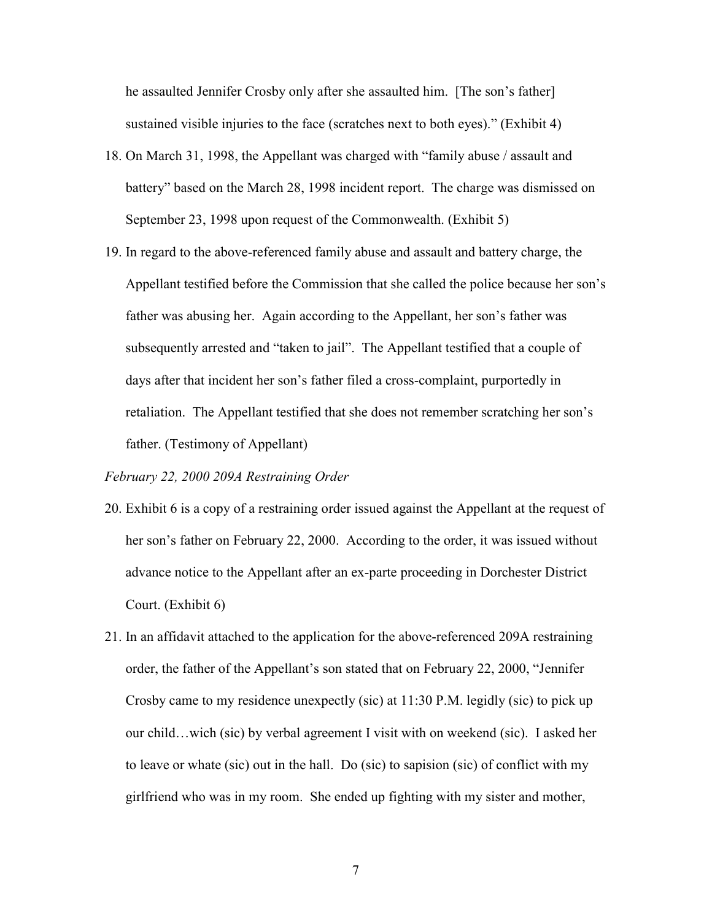he assaulted Jennifer Crosby only after she assaulted him. [The son's father] sustained visible injuries to the face (scratches next to both eyes)." (Exhibit 4)

- 18. On March 31, 1998, the Appellant was charged with "family abuse / assault and battery" based on the March 28, 1998 incident report. The charge was dismissed on September 23, 1998 upon request of the Commonwealth. (Exhibit 5)
- 19. In regard to the above-referenced family abuse and assault and battery charge, the Appellant testified before the Commission that she called the police because her son's father was abusing her. Again according to the Appellant, her son's father was subsequently arrested and "taken to jail". The Appellant testified that a couple of days after that incident her son's father filed a cross-complaint, purportedly in retaliation. The Appellant testified that she does not remember scratching her son's father. (Testimony of Appellant)

# February 22, 2000 209A Restraining Order

- 20. Exhibit 6 is a copy of a restraining order issued against the Appellant at the request of her son's father on February 22, 2000. According to the order, it was issued without advance notice to the Appellant after an ex-parte proceeding in Dorchester District Court. (Exhibit 6)
- 21. In an affidavit attached to the application for the above-referenced 209A restraining order, the father of the Appellant's son stated that on February 22, 2000, "Jennifer Crosby came to my residence unexpectly (sic) at 11:30 P.M. legidly (sic) to pick up our child…wich (sic) by verbal agreement I visit with on weekend (sic). I asked her to leave or whate (sic) out in the hall. Do (sic) to sapision (sic) of conflict with my girlfriend who was in my room. She ended up fighting with my sister and mother,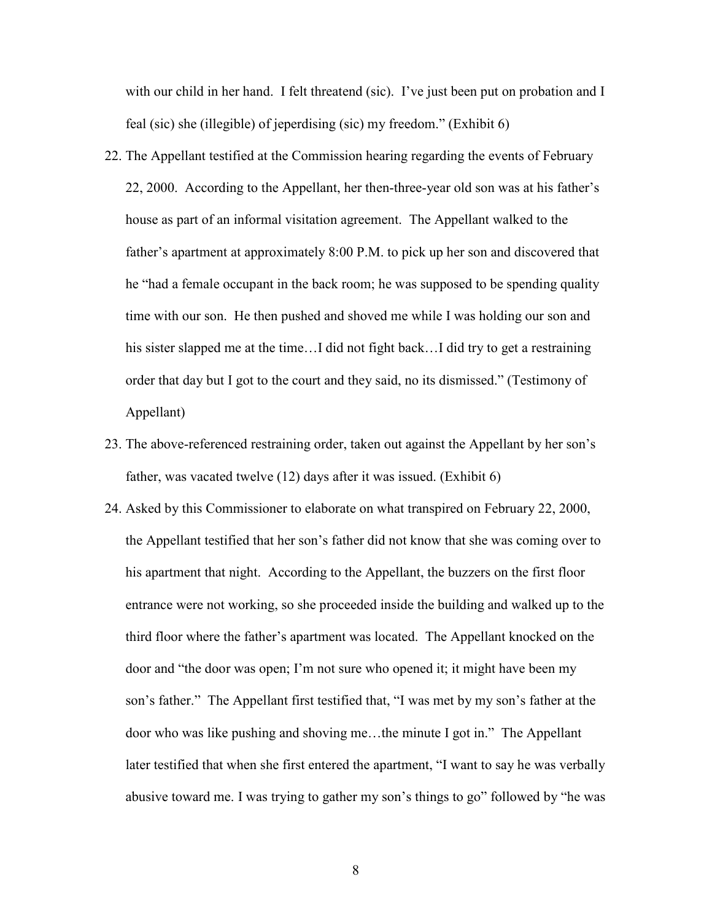with our child in her hand. I felt threatend (sic). I've just been put on probation and I feal (sic) she (illegible) of jeperdising (sic) my freedom." (Exhibit 6)

- 22. The Appellant testified at the Commission hearing regarding the events of February 22, 2000. According to the Appellant, her then-three-year old son was at his father's house as part of an informal visitation agreement. The Appellant walked to the father's apartment at approximately 8:00 P.M. to pick up her son and discovered that he "had a female occupant in the back room; he was supposed to be spending quality time with our son. He then pushed and shoved me while I was holding our son and his sister slapped me at the time...I did not fight back...I did try to get a restraining order that day but I got to the court and they said, no its dismissed." (Testimony of Appellant)
- 23. The above-referenced restraining order, taken out against the Appellant by her son's father, was vacated twelve (12) days after it was issued. (Exhibit 6)
- 24. Asked by this Commissioner to elaborate on what transpired on February 22, 2000, the Appellant testified that her son's father did not know that she was coming over to his apartment that night. According to the Appellant, the buzzers on the first floor entrance were not working, so she proceeded inside the building and walked up to the third floor where the father's apartment was located. The Appellant knocked on the door and "the door was open; I'm not sure who opened it; it might have been my son's father." The Appellant first testified that, "I was met by my son's father at the door who was like pushing and shoving me…the minute I got in." The Appellant later testified that when she first entered the apartment, "I want to say he was verbally abusive toward me. I was trying to gather my son's things to go" followed by "he was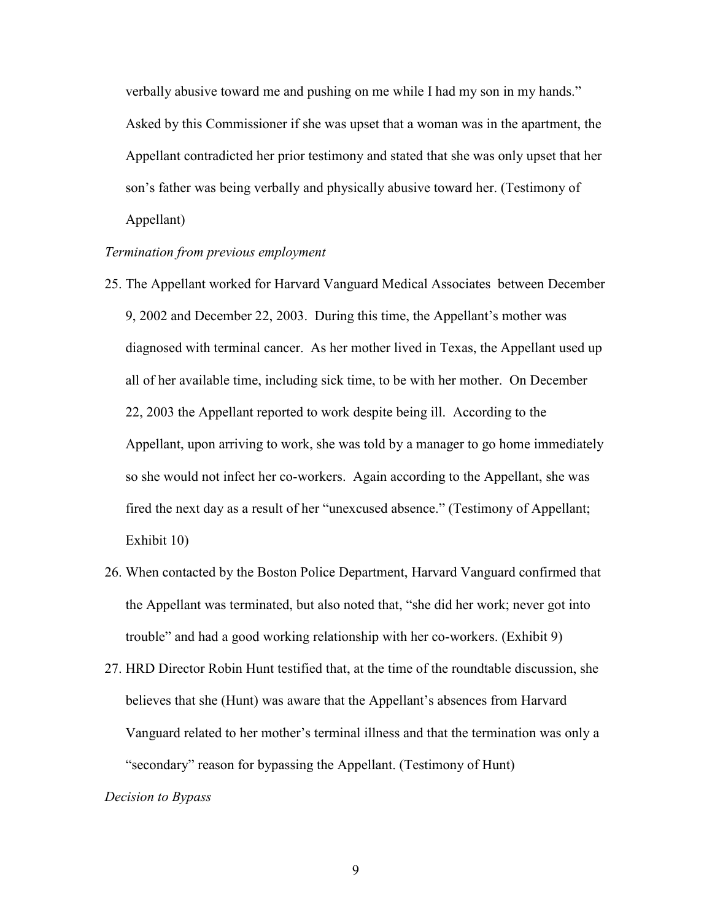verbally abusive toward me and pushing on me while I had my son in my hands." Asked by this Commissioner if she was upset that a woman was in the apartment, the Appellant contradicted her prior testimony and stated that she was only upset that her son's father was being verbally and physically abusive toward her. (Testimony of Appellant)

## Termination from previous employment

- 25. The Appellant worked for Harvard Vanguard Medical Associates between December 9, 2002 and December 22, 2003. During this time, the Appellant's mother was diagnosed with terminal cancer. As her mother lived in Texas, the Appellant used up all of her available time, including sick time, to be with her mother. On December 22, 2003 the Appellant reported to work despite being ill. According to the Appellant, upon arriving to work, she was told by a manager to go home immediately so she would not infect her co-workers. Again according to the Appellant, she was fired the next day as a result of her "unexcused absence." (Testimony of Appellant; Exhibit 10)
- 26. When contacted by the Boston Police Department, Harvard Vanguard confirmed that the Appellant was terminated, but also noted that, "she did her work; never got into trouble" and had a good working relationship with her co-workers. (Exhibit 9)
- 27. HRD Director Robin Hunt testified that, at the time of the roundtable discussion, she believes that she (Hunt) was aware that the Appellant's absences from Harvard Vanguard related to her mother's terminal illness and that the termination was only a "secondary" reason for bypassing the Appellant. (Testimony of Hunt)

#### Decision to Bypass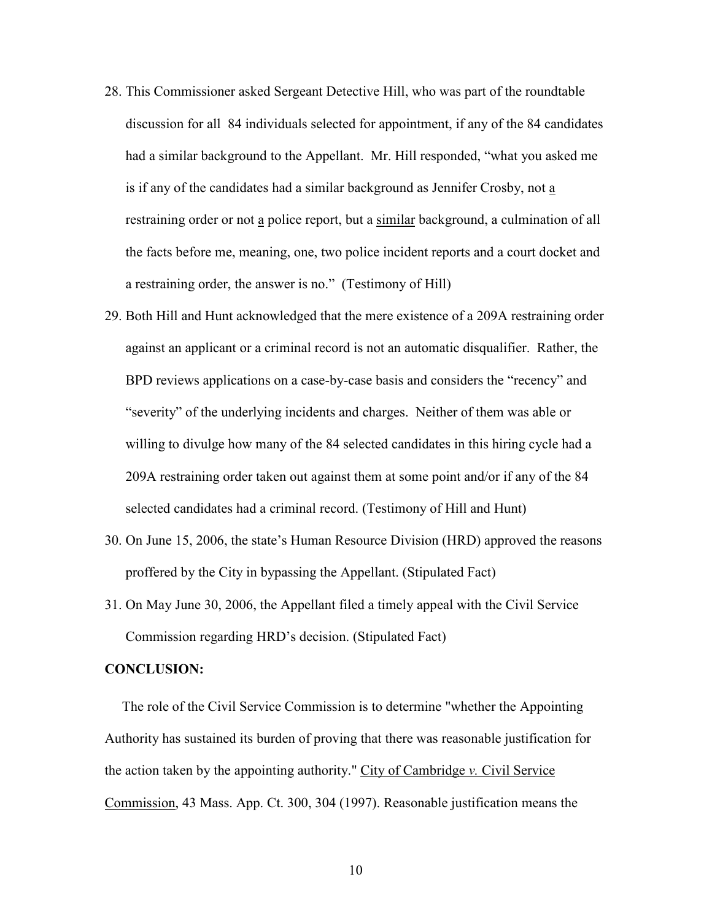- 28. This Commissioner asked Sergeant Detective Hill, who was part of the roundtable discussion for all 84 individuals selected for appointment, if any of the 84 candidates had a similar background to the Appellant. Mr. Hill responded, "what you asked me is if any of the candidates had a similar background as Jennifer Crosby, not a restraining order or not a police report, but a similar background, a culmination of all the facts before me, meaning, one, two police incident reports and a court docket and a restraining order, the answer is no." (Testimony of Hill)
- 29. Both Hill and Hunt acknowledged that the mere existence of a 209A restraining order against an applicant or a criminal record is not an automatic disqualifier. Rather, the BPD reviews applications on a case-by-case basis and considers the "recency" and "severity" of the underlying incidents and charges. Neither of them was able or willing to divulge how many of the 84 selected candidates in this hiring cycle had a 209A restraining order taken out against them at some point and/or if any of the 84 selected candidates had a criminal record. (Testimony of Hill and Hunt)
- 30. On June 15, 2006, the state's Human Resource Division (HRD) approved the reasons proffered by the City in bypassing the Appellant. (Stipulated Fact)
- 31. On May June 30, 2006, the Appellant filed a timely appeal with the Civil Service Commission regarding HRD's decision. (Stipulated Fact)

### CONCLUSION:

 The role of the Civil Service Commission is to determine "whether the Appointing Authority has sustained its burden of proving that there was reasonable justification for the action taken by the appointing authority." City of Cambridge  $v$ . Civil Service Commission, 43 Mass. App. Ct. 300, 304 (1997). Reasonable justification means the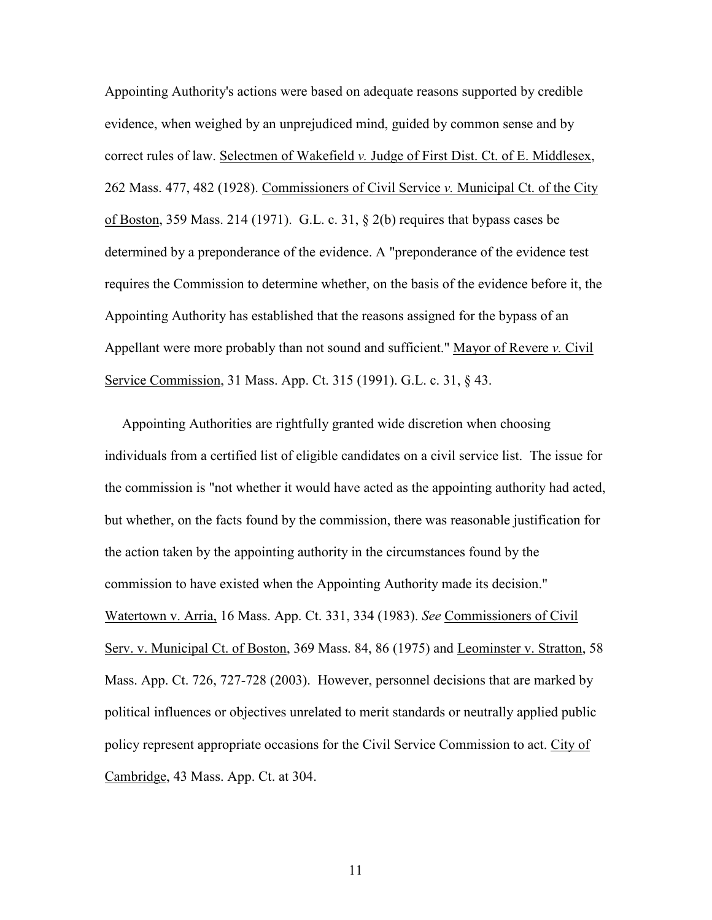Appointing Authority's actions were based on adequate reasons supported by credible evidence, when weighed by an unprejudiced mind, guided by common sense and by correct rules of law. Selectmen of Wakefield v. Judge of First Dist. Ct. of E. Middlesex, 262 Mass. 477, 482 (1928). Commissioners of Civil Service v. Municipal Ct. of the City of Boston, 359 Mass. 214 (1971). G.L. c. 31, § 2(b) requires that bypass cases be determined by a preponderance of the evidence. A "preponderance of the evidence test requires the Commission to determine whether, on the basis of the evidence before it, the Appointing Authority has established that the reasons assigned for the bypass of an Appellant were more probably than not sound and sufficient." Mayor of Revere v. Civil Service Commission, 31 Mass. App. Ct. 315 (1991). G.L. c. 31, § 43.

 Appointing Authorities are rightfully granted wide discretion when choosing individuals from a certified list of eligible candidates on a civil service list. The issue for the commission is "not whether it would have acted as the appointing authority had acted, but whether, on the facts found by the commission, there was reasonable justification for the action taken by the appointing authority in the circumstances found by the commission to have existed when the Appointing Authority made its decision." Watertown v. Arria, 16 Mass. App. Ct. 331, 334 (1983). See Commissioners of Civil Serv. v. Municipal Ct. of Boston, 369 Mass. 84, 86 (1975) and Leominster v. Stratton, 58 Mass. App. Ct. 726, 727-728 (2003). However, personnel decisions that are marked by political influences or objectives unrelated to merit standards or neutrally applied public policy represent appropriate occasions for the Civil Service Commission to act. City of Cambridge, 43 Mass. App. Ct. at 304.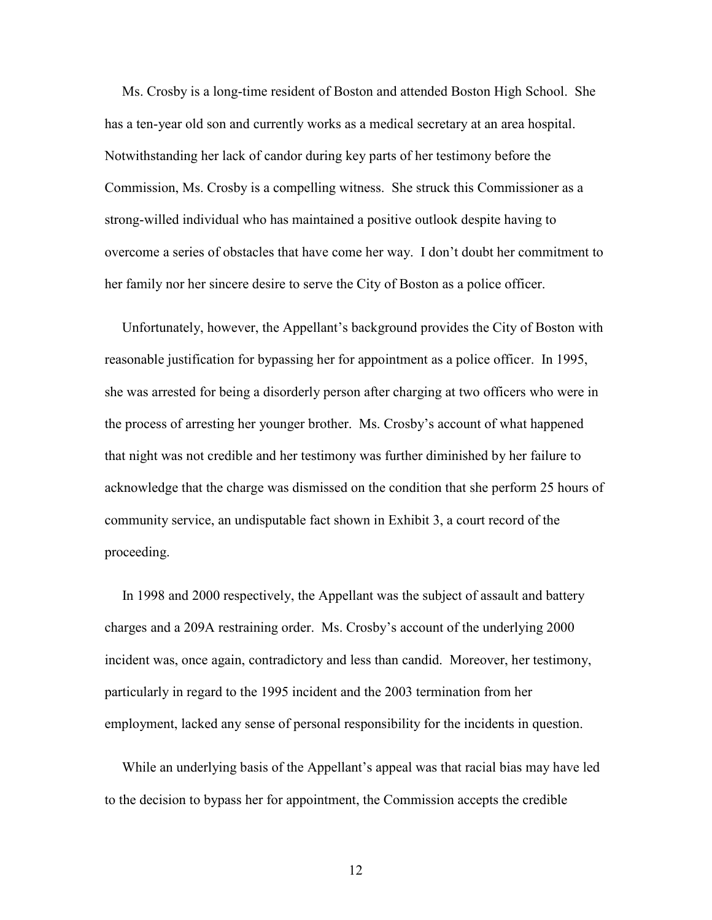Ms. Crosby is a long-time resident of Boston and attended Boston High School. She has a ten-year old son and currently works as a medical secretary at an area hospital. Notwithstanding her lack of candor during key parts of her testimony before the Commission, Ms. Crosby is a compelling witness. She struck this Commissioner as a strong-willed individual who has maintained a positive outlook despite having to overcome a series of obstacles that have come her way. I don't doubt her commitment to her family nor her sincere desire to serve the City of Boston as a police officer.

 Unfortunately, however, the Appellant's background provides the City of Boston with reasonable justification for bypassing her for appointment as a police officer. In 1995, she was arrested for being a disorderly person after charging at two officers who were in the process of arresting her younger brother. Ms. Crosby's account of what happened that night was not credible and her testimony was further diminished by her failure to acknowledge that the charge was dismissed on the condition that she perform 25 hours of community service, an undisputable fact shown in Exhibit 3, a court record of the proceeding.

 In 1998 and 2000 respectively, the Appellant was the subject of assault and battery charges and a 209A restraining order. Ms. Crosby's account of the underlying 2000 incident was, once again, contradictory and less than candid. Moreover, her testimony, particularly in regard to the 1995 incident and the 2003 termination from her employment, lacked any sense of personal responsibility for the incidents in question.

 While an underlying basis of the Appellant's appeal was that racial bias may have led to the decision to bypass her for appointment, the Commission accepts the credible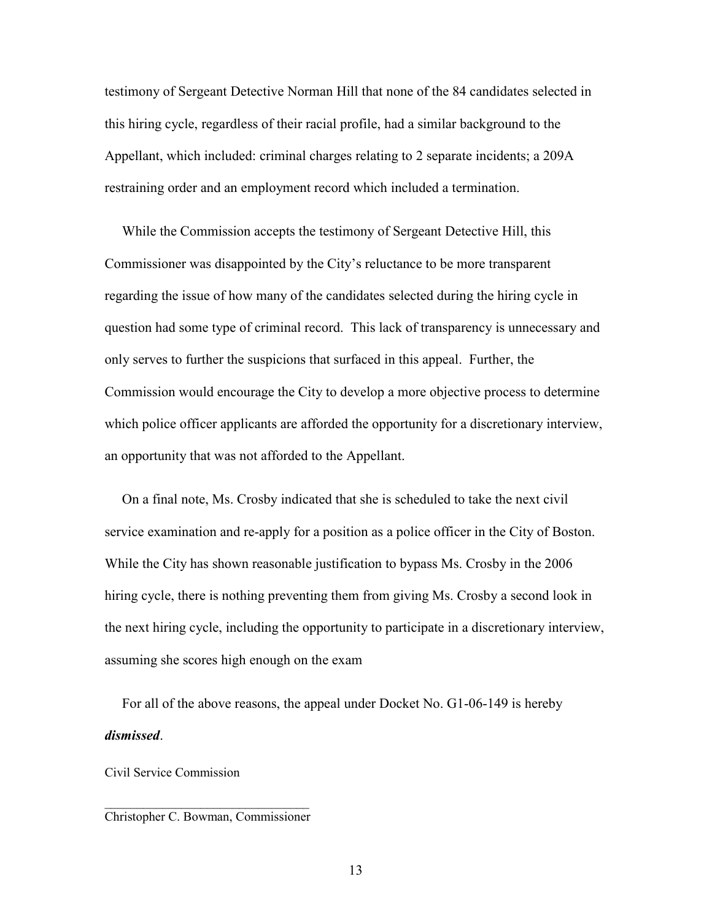testimony of Sergeant Detective Norman Hill that none of the 84 candidates selected in this hiring cycle, regardless of their racial profile, had a similar background to the Appellant, which included: criminal charges relating to 2 separate incidents; a 209A restraining order and an employment record which included a termination.

 While the Commission accepts the testimony of Sergeant Detective Hill, this Commissioner was disappointed by the City's reluctance to be more transparent regarding the issue of how many of the candidates selected during the hiring cycle in question had some type of criminal record. This lack of transparency is unnecessary and only serves to further the suspicions that surfaced in this appeal. Further, the Commission would encourage the City to develop a more objective process to determine which police officer applicants are afforded the opportunity for a discretionary interview, an opportunity that was not afforded to the Appellant.

 On a final note, Ms. Crosby indicated that she is scheduled to take the next civil service examination and re-apply for a position as a police officer in the City of Boston. While the City has shown reasonable justification to bypass Ms. Crosby in the 2006 hiring cycle, there is nothing preventing them from giving Ms. Crosby a second look in the next hiring cycle, including the opportunity to participate in a discretionary interview, assuming she scores high enough on the exam

 For all of the above reasons, the appeal under Docket No. G1-06-149 is hereby dismissed.

Civil Service Commission

#### $\mathcal{L}_\text{max}$  , where  $\mathcal{L}_\text{max}$  and  $\mathcal{L}_\text{max}$ Christopher C. Bowman, Commissioner